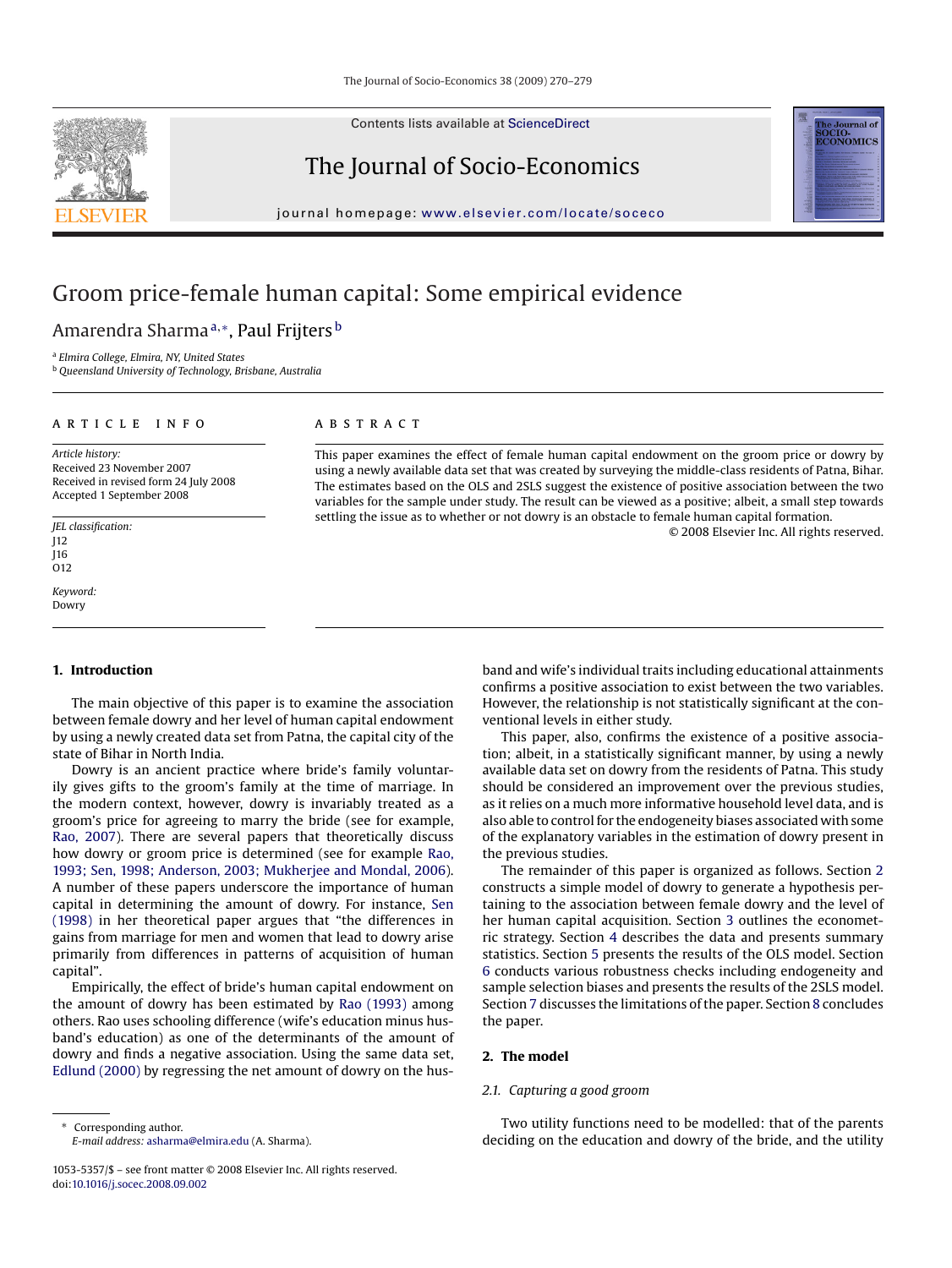Contents lists available at [ScienceDirect](http://www.sciencedirect.com/science/journal/10535357)

### The Journal of Socio-Economics

journal homepage: [www.elsevier.com/locate/soceco](http://www.elsevier.com/locate/soceco)

## Groom price-female human capital: Some empirical evidence

### Amarendra Sharma<sup>a,∗</sup>, Paul Frijters<sup>b</sup>

<sup>a</sup> *Elmira College, Elmira, NY, United States*

<sup>b</sup> *Queensland University of Technology, Brisbane, Australia*

#### article info

#### ABSTRACT

*Article history:* Received 23 November 2007 Received in revised form 24 July 2008 Accepted 1 September 2008

*JEL classification:* J12 J16 O<sub>12</sub>

*Keyword:* Dowry

#### **1. Introduction**

The main objective of this paper is to examine the association between female dowry and her level of human capital endowment by using a newly created data set from Patna, the capital city of the state of Bihar in North India.

Dowry is an ancient practice where bride's family voluntarily gives gifts to the groom's family at the time of marriage. In the modern context, however, dowry is invariably treated as a groom's price for agreeing to marry the bride (see for example, [Rao, 2007\).](#page--1-0) There are several papers that theoretically discuss how dowry or groom price is determined (see for example [Rao,](#page--1-0) [1993; Sen, 1998; Anderson, 2003; Mukherjee and Mondal, 2006\).](#page--1-0) A number of these papers underscore the importance of human capital in determining the amount of dowry. For instance, [Sen](#page--1-0) [\(1998\)](#page--1-0) in her theoretical paper argues that "the differences in gains from marriage for men and women that lead to dowry arise primarily from differences in patterns of acquisition of human capital".

Empirically, the effect of bride's human capital endowment on the amount of dowry has been estimated by [Rao \(1993\)](#page--1-0) among others. Rao uses schooling difference (wife's education minus husband's education) as one of the determinants of the amount of dowry and finds a negative association. Using the same data set, [Edlund \(2000\)](#page--1-0) by regressing the net amount of dowry on the husband and wife's individual traits including educational attainments confirms a positive association to exist between the two variables. However, the relationship is not statistically significant at the conventional levels in either study.

© 2008 Elsevier Inc. All rights reserved.

mal of **OCIO-**<br>CONOMICS

This paper examines the effect of female human capital endowment on the groom price or dowry by using a newly available data set that was created by surveying the middle-class residents of Patna, Bihar. The estimates based on the OLS and 2SLS suggest the existence of positive association between the two variables for the sample under study. The result can be viewed as a positive; albeit, a small step towards settling the issue as to whether or not dowry is an obstacle to female human capital formation.

> This paper, also, confirms the existence of a positive association; albeit, in a statistically significant manner, by using a newly available data set on dowry from the residents of Patna. This study should be considered an improvement over the previous studies, as it relies on a much more informative household level data, and is also able to control for the endogeneity biases associated with some of the explanatory variables in the estimation of dowry present in the previous studies.

> The remainder of this paper is organized as follows. Section 2 constructs a simple model of dowry to generate a hypothesis pertaining to the association between female dowry and the level of her human capital acquisition. Section [3](#page-1-0) outlines the econometric strategy. Section [4](#page--1-0) describes the data and presents summary statistics. Section [5](#page--1-0) presents the results of the OLS model. Section [6](#page--1-0) conducts various robustness checks including endogeneity and sample selection biases and presents the results of the 2SLS model. Section [7](#page--1-0) discusses the limitations of the paper. Section [8](#page--1-0) concludes the paper.

#### **2. The model**

#### *2.1. Capturing a good groom*

Two utility functions need to be modelled: that of the parents deciding on the education and dowry of the bride, and the utility



<sup>∗</sup> Corresponding author. *E-mail address:* [asharma@elmira.edu](mailto:asharma@elmira.edu) (A. Sharma).

<sup>1053-5357/\$ –</sup> see front matter © 2008 Elsevier Inc. All rights reserved. doi:[10.1016/j.socec.2008.09.002](dx.doi.org/10.1016/j.socec.2008.09.002)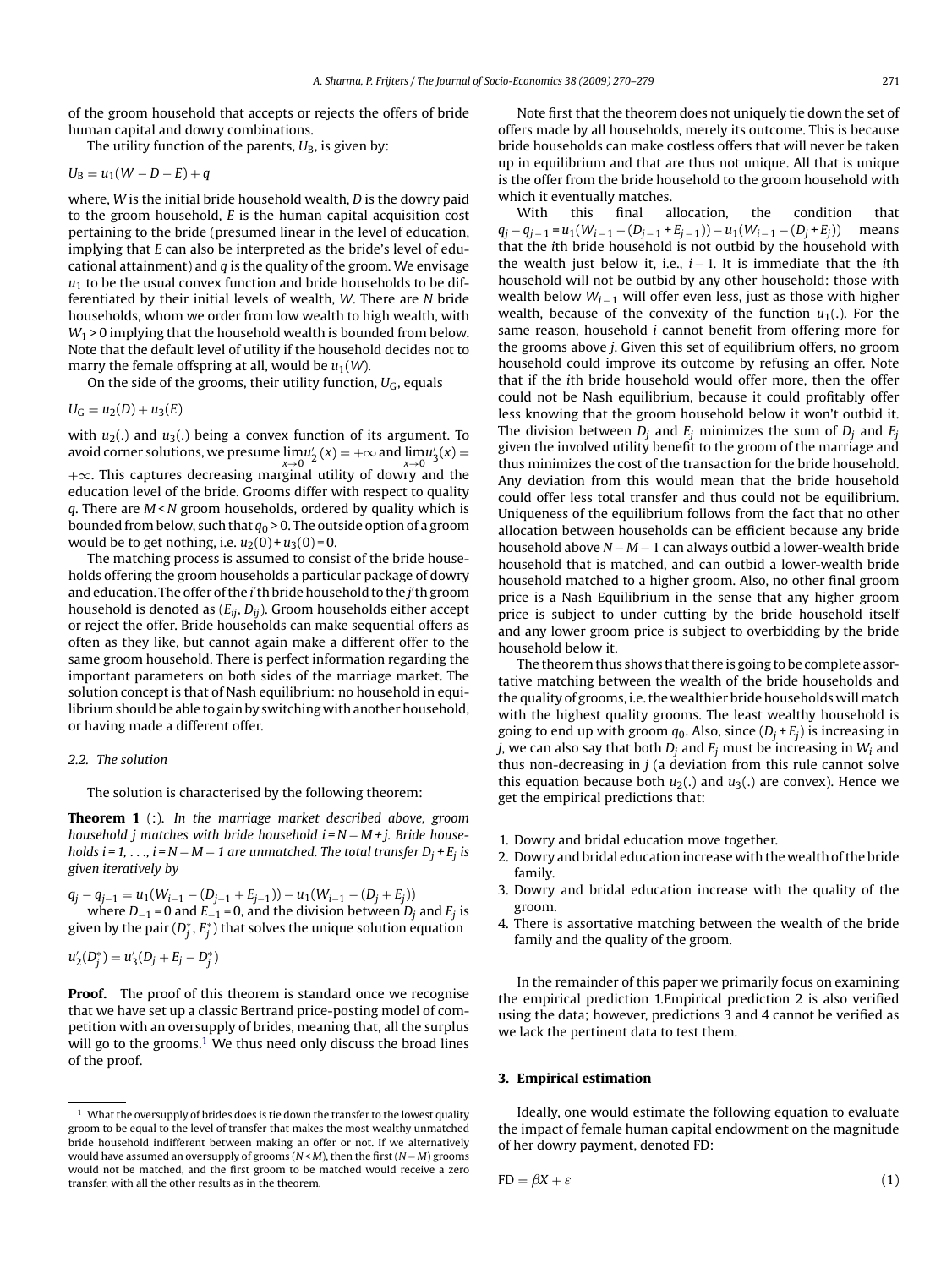<span id="page-1-0"></span>of the groom household that accepts or rejects the offers of bride human capital and dowry combinations.

The utility function of the parents,  $U_{\text{B}}$ , is given by:

$$
U_{\rm B}=u_1(W-D-E)+q
$$

where, *W* is the initial bride household wealth, *D* is the dowry paid to the groom household, *E* is the human capital acquisition cost pertaining to the bride (presumed linear in the level of education, implying that *E* can also be interpreted as the bride's level of educational attainment) and *q* is the quality of the groom. We envisage  $u_1$  to be the usual convex function and bride households to be differentiated by their initial levels of wealth, *W*. There are *N* bride households, whom we order from low wealth to high wealth, with  $W_1$  > 0 implying that the household wealth is bounded from below. Note that the default level of utility if the household decides not to marry the female offspring at all, would be  $u_1(W)$ .

On the side of the grooms, their utility function, *U<sub>G</sub>*, equals

$$
U_{\mathsf{G}}=u_2(D)+u_3(E)
$$

with  $u_2(.)$  and  $u_3(.)$  being a convex function of its argument. To avoid corner solutions, we presume  $\lim_{x\to 0} u'_2(x) = +\infty$  and  $\lim_{x\to 0} u'_3(x) =$ +∞. This captures decreasing marginal utility of dowry and the education level of the bride. Grooms differ with respect to quality *q*. There are *M* < *N* groom households, ordered by quality which is bounded from below, such that  $q_0$  > 0. The outside option of a groom would be to get nothing, i.e.  $u_2(0) + u_3(0) = 0$ .

The matching process is assumed to consist of the bride households offering the groom households a particular package of dowry and education. The offer of the *i* th bride household to the *j* th groom household is denoted as (*Eij*, *Dij*). Groom households either accept or reject the offer. Bride households can make sequential offers as often as they like, but cannot again make a different offer to the same groom household. There is perfect information regarding the important parameters on both sides of the marriage market. The solution concept is that of Nash equilibrium: no household in equilibrium should be able to gain by switching with another household, or having made a different offer.

#### *2.2. The solution*

The solution is characterised by the following theorem:

**Theorem 1** (:). *In the marriage market described above, groom household j matches with bride household i = N* − *M + j. Bride households i* = 1, ..., *i* =  $N - M - 1$  are unmatched. The total transfer  $D_i + E_j$  is *given iteratively by*

 $q_i - q_{i-1} = u_1(W_{i-1} - (D_{i-1} + E_{i-1})) - u_1(W_{i-1} - (D_i + E_i))$ where *D*−<sup>1</sup> = 0 and *E*−<sup>1</sup> = 0, and the division between *Dj* and *Ej* is given by the pair  $(D^*_j,E^*_j)$  that solves the unique solution equation

$$
u_2'(D_j^*) = u_3'(D_j + E_j - D_j^*)
$$

**Proof.** The proof of this theorem is standard once we recognise that we have set up a classic Bertrand price-posting model of competition with an oversupply of brides, meaning that, all the surplus will go to the grooms.<sup>1</sup> We thus need only discuss the broad lines of the proof.

Note first that the theorem does not uniquely tie down the set of offers made by all households, merely its outcome. This is because bride households can make costless offers that will never be taken up in equilibrium and that are thus not unique. All that is unique is the offer from the bride household to the groom household with which it eventually matches.

With this final allocation, the condition that  $q_j - q_{j-1} = u_1(W_{i-1} - (D_{j-1} + E_{j-1})) - u_1(W_{i-1} - (D_j + E_j))$  means that the *i*th bride household is not outbid by the household with the wealth just below it, i.e., *i* − 1. It is immediate that the *i*th household will not be outbid by any other household: those with wealth below  $W_{i-1}$  will offer even less, just as those with higher wealth, because of the convexity of the function  $u_1(.)$ . For the same reason, household *i* cannot benefit from offering more for the grooms above *j*. Given this set of equilibrium offers, no groom household could improve its outcome by refusing an offer. Note that if the *i*th bride household would offer more, then the offer could not be Nash equilibrium, because it could profitably offer less knowing that the groom household below it won't outbid it. The division between  $D_i$  and  $E_j$  minimizes the sum of  $D_j$  and  $E_j$ given the involved utility benefit to the groom of the marriage and thus minimizes the cost of the transaction for the bride household. Any deviation from this would mean that the bride household could offer less total transfer and thus could not be equilibrium. Uniqueness of the equilibrium follows from the fact that no other allocation between households can be efficient because any bride household above *N* − *M* − 1 can always outbid a lower-wealth bride household that is matched, and can outbid a lower-wealth bride household matched to a higher groom. Also, no other final groom price is a Nash Equilibrium in the sense that any higher groom price is subject to under cutting by the bride household itself and any lower groom price is subject to overbidding by the bride household below it.

The theorem thus shows that there is going to be complete assortative matching between the wealth of the bride households and the quality of grooms, i.e. the wealthier bride households willmatch with the highest quality grooms. The least wealthy household is going to end up with groom  $q_0$ . Also, since  $(D_i + E_j)$  is increasing in *j*, we can also say that both  $D_i$  and  $E_j$  must be increasing in  $W_i$  and thus non-decreasing in *j* (a deviation from this rule cannot solve this equation because both  $u_2(.)$  and  $u_3(.)$  are convex). Hence we get the empirical predictions that:

- 1. Dowry and bridal education move together.
- 2. Dowry and bridal education increase with the wealth of the bride family.
- 3. Dowry and bridal education increase with the quality of the groom.
- 4. There is assortative matching between the wealth of the bride family and the quality of the groom.

In the remainder of this paper we primarily focus on examining the empirical prediction 1.Empirical prediction 2 is also verified using the data; however, predictions 3 and 4 cannot be verified as we lack the pertinent data to test them.

#### **3. Empirical estimation**

Ideally, one would estimate the following equation to evaluate the impact of female human capital endowment on the magnitude of her dowry payment, denoted FD:

$$
FD = \beta X + \varepsilon \tag{1}
$$

 $^{\rm 1}$  What the oversupply of brides does is tie down the transfer to the lowest quality groom to be equal to the level of transfer that makes the most wealthy unmatched bride household indifferent between making an offer or not. If we alternatively would have assumed an oversupply of grooms (*N* < *M*), then the first (*N* − *M*) grooms would not be matched, and the first groom to be matched would receive a zero transfer, with all the other results as in the theorem.